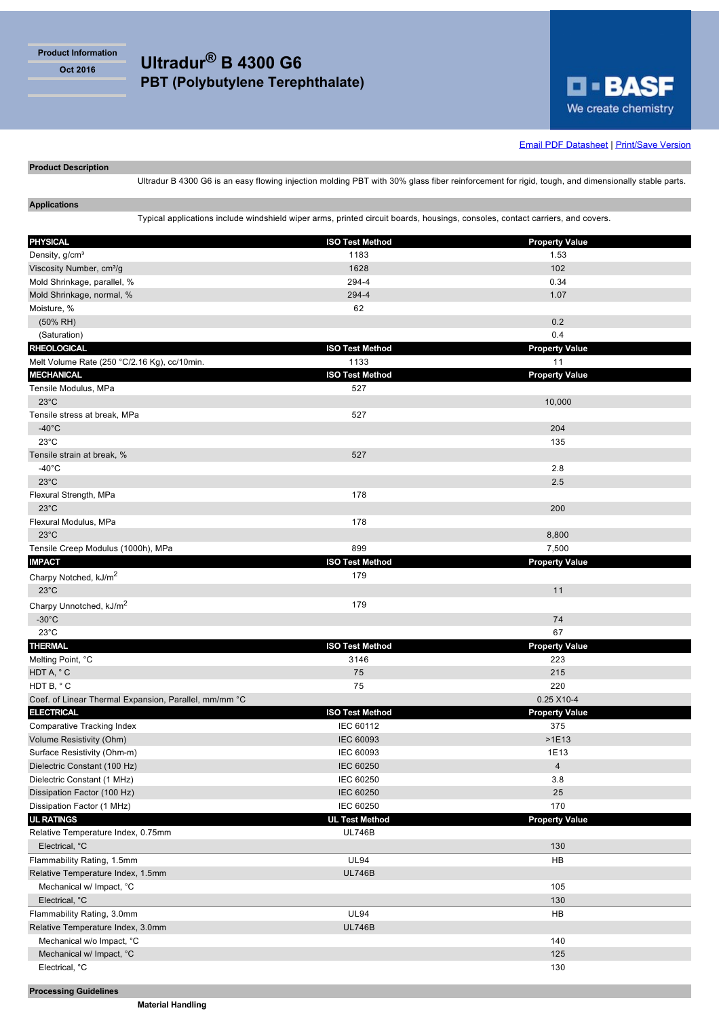**Product Information**

**Oct 2016 Ultradur® B 4300 G6 PBT (Polybutylene Terephthalate)**



## **Email PDF Datasheet | Print/Save Version**

## **Product Description**

Ultradur B 4300 G6 is an easy flowing injection molding PBT with 30% glass fiber reinforcement for rigid, tough, and dimensionally stable parts.

# **Applications**

Typical applications include windshield wiper arms, printed circuit boards, housings, consoles, contact carriers, and covers.

| <b>PHYSICAL</b>                                       | <b>ISO Test Method</b> | <b>Property Value</b> |
|-------------------------------------------------------|------------------------|-----------------------|
| Density, g/cm <sup>3</sup>                            | 1183                   | 1.53                  |
| Viscosity Number, cm <sup>3</sup> /g                  | 1628<br>294-4          | 102                   |
| Mold Shrinkage, parallel, %                           |                        | 0.34                  |
| Mold Shrinkage, normal, %                             | 294-4<br>62            | 1.07                  |
| Moisture, %                                           |                        | 0.2                   |
| $(50\% \text{ RH})$                                   |                        | 0.4                   |
| (Saturation)<br><b>RHEOLOGICAL</b>                    | <b>ISO Test Method</b> | <b>Property Value</b> |
| Melt Volume Rate (250 °C/2.16 Kg), cc/10min.          | 1133                   | 11                    |
| <b>MECHANICAL</b>                                     | <b>ISO Test Method</b> | <b>Property Value</b> |
| Tensile Modulus, MPa                                  | 527                    |                       |
| $23^{\circ}$ C                                        |                        | 10,000                |
| Tensile stress at break, MPa                          | 527                    |                       |
| $-40^{\circ}$ C                                       |                        | 204                   |
| $23^{\circ}$ C                                        |                        | 135                   |
| Tensile strain at break, %                            | 527                    |                       |
| $-40^{\circ}$ C                                       |                        | 2.8                   |
| $23^{\circ}$ C                                        |                        | 2.5                   |
| Flexural Strength, MPa                                | 178                    |                       |
| $23^{\circ}$ C                                        |                        | 200                   |
| Flexural Modulus, MPa                                 | 178                    |                       |
| $23^{\circ}$ C                                        |                        | 8,800                 |
| Tensile Creep Modulus (1000h), MPa                    | 899                    | 7,500                 |
| <b>IMPACT</b>                                         | <b>ISO Test Method</b> | <b>Property Value</b> |
| Charpy Notched, kJ/m <sup>2</sup>                     | 179                    |                       |
| $23^{\circ}$ C                                        |                        | 11                    |
| Charpy Unnotched, kJ/m <sup>2</sup>                   | 179                    |                       |
| $-30^{\circ}$ C                                       |                        | 74                    |
| $23^{\circ}$ C                                        |                        | 67                    |
| <b>THERMAL</b>                                        | <b>ISO Test Method</b> | <b>Property Value</b> |
| Melting Point, °C                                     | 3146                   | 223                   |
| HDT A, °C                                             | 75                     | 215                   |
| HDT B, °C                                             | 75                     | 220                   |
| Coef. of Linear Thermal Expansion, Parallel, mm/mm °C |                        | 0.25 X10-4            |
| <b>ELECTRICAL</b>                                     | <b>ISO Test Method</b> | <b>Property Value</b> |
| Comparative Tracking Index                            | IEC 60112              | 375                   |
| Volume Resistivity (Ohm)                              | <b>IEC 60093</b>       | $>1E13$               |
| Surface Resistivity (Ohm-m)                           | <b>IEC 60093</b>       | 1E13                  |
| Dielectric Constant (100 Hz)                          | <b>IEC 60250</b>       | $\overline{4}$        |
| Dielectric Constant (1 MHz)                           | IEC 60250              | 3.8                   |
| Dissipation Factor (100 Hz)                           | <b>IEC 60250</b>       | 25                    |
| Dissipation Factor (1 MHz)                            | IEC 60250              | 170                   |
| <b>UL RATINGS</b>                                     | <b>UL Test Method</b>  | <b>Property Value</b> |
| Relative Temperature Index, 0.75mm                    | <b>UL746B</b>          |                       |
| Electrical, °C                                        |                        | 130                   |
| Flammability Rating, 1.5mm                            | <b>UL94</b>            | HB                    |
| Relative Temperature Index, 1.5mm                     | <b>UL746B</b>          |                       |
| Mechanical w/ Impact, °C                              |                        | 105                   |
| Electrical, °C                                        |                        | 130                   |
| Flammability Rating, 3.0mm                            | <b>UL94</b>            | HB                    |
| Relative Temperature Index, 3.0mm                     | <b>UL746B</b>          |                       |
| Mechanical w/o Impact, °C                             |                        | 140                   |
| Mechanical w/ Impact, °C                              |                        | 125                   |
| Electrical, °C                                        |                        | 130                   |
|                                                       |                        |                       |

**Processing Guidelines**